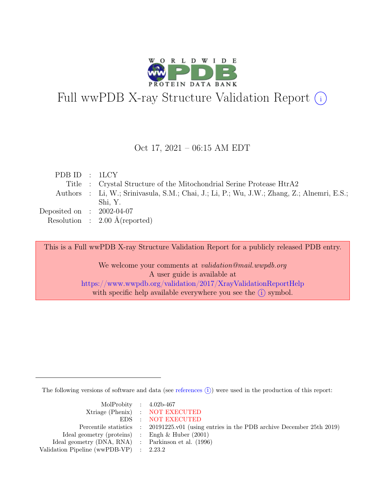

# Full wwPDB X-ray Structure Validation Report  $(i)$

#### Oct 17, 2021 – 06:15 AM EDT

| PDB ID : 1LCY               |                                                                                            |
|-----------------------------|--------------------------------------------------------------------------------------------|
|                             | Title : Crystal Structure of the Mitochondrial Serine Protease HtrA2                       |
|                             | Authors : Li, W.; Srinivasula, S.M.; Chai, J.; Li, P.; Wu, J.W.; Zhang, Z.; Alnemri, E.S.; |
|                             | Shi, Y.                                                                                    |
| Deposited on : $2002-04-07$ |                                                                                            |
|                             | Resolution : $2.00 \text{ Å}$ (reported)                                                   |

This is a Full wwPDB X-ray Structure Validation Report for a publicly released PDB entry.

We welcome your comments at *validation@mail.wwpdb.org* A user guide is available at <https://www.wwpdb.org/validation/2017/XrayValidationReportHelp> with specific help available everywhere you see the  $(i)$  symbol.

The following versions of software and data (see [references](https://www.wwpdb.org/validation/2017/XrayValidationReportHelp#references)  $(i)$ ) were used in the production of this report:

| MolProbity : $4.02b-467$                            |                                                                                            |
|-----------------------------------------------------|--------------------------------------------------------------------------------------------|
|                                                     | Xtriage (Phenix) : NOT EXECUTED                                                            |
|                                                     | EDS : NOT EXECUTED                                                                         |
|                                                     | Percentile statistics : 20191225.v01 (using entries in the PDB archive December 25th 2019) |
| Ideal geometry (proteins) : Engh $\&$ Huber (2001)  |                                                                                            |
| Ideal geometry (DNA, RNA) : Parkinson et al. (1996) |                                                                                            |
| Validation Pipeline (wwPDB-VP) : $2.23.2$           |                                                                                            |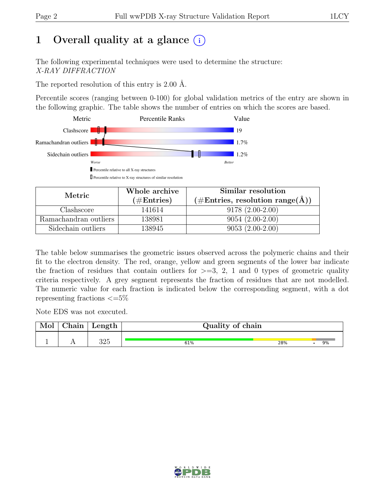## 1 Overall quality at a glance  $(i)$

The following experimental techniques were used to determine the structure: X-RAY DIFFRACTION

The reported resolution of this entry is 2.00 Å.

Percentile scores (ranging between 0-100) for global validation metrics of the entry are shown in the following graphic. The table shows the number of entries on which the scores are based.



| Metric                | Whole archive | Similar resolution                                           |  |  |
|-----------------------|---------------|--------------------------------------------------------------|--|--|
|                       | $(\#Entries)$ | $(\#\text{Entries}, \, \text{resolution range}(\text{\AA}))$ |  |  |
| Clashscore            | 141614        | $9178(2.00-2.00)$                                            |  |  |
| Ramachandran outliers | 138981        | $9054(2.00-2.00)$                                            |  |  |
| Sidechain outliers    | 138945        | $9053(2.00-2.00)$                                            |  |  |

The table below summarises the geometric issues observed across the polymeric chains and their fit to the electron density. The red, orange, yellow and green segments of the lower bar indicate the fraction of residues that contain outliers for  $\geq$ =3, 2, 1 and 0 types of geometric quality criteria respectively. A grey segment represents the fraction of residues that are not modelled. The numeric value for each fraction is indicated below the corresponding segment, with a dot representing fractions  $\epsilon = 5\%$ 

Note EDS was not executed.

| Mol | $\cap$ hain | $\mu$ ength | Quality of chain |     |    |
|-----|-------------|-------------|------------------|-----|----|
|     |             | 325         | 61%              | 28% | 9% |

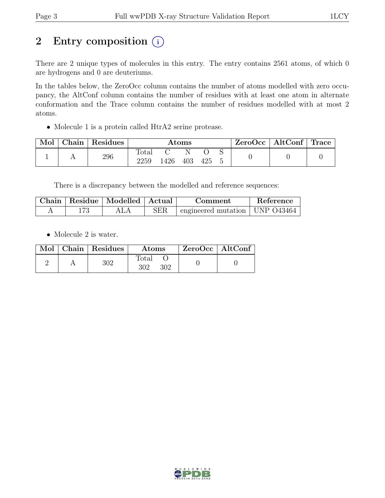## 2 Entry composition  $(i)$

There are 2 unique types of molecules in this entry. The entry contains 2561 atoms, of which 0 are hydrogens and 0 are deuteriums.

In the tables below, the ZeroOcc column contains the number of atoms modelled with zero occupancy, the AltConf column contains the number of residues with at least one atom in alternate conformation and the Trace column contains the number of residues modelled with at most 2 atoms.

• Molecule 1 is a protein called HtrA2 serine protease.

| Mol | Chain | Residues | $\rm{Atoms}$  |     |     |     | $ZeroOcc \mid AltConf \mid Trace$ |  |  |
|-----|-------|----------|---------------|-----|-----|-----|-----------------------------------|--|--|
|     |       | 296      | Total<br>2259 | 426 | 403 | 425 |                                   |  |  |

There is a discrepancy between the modelled and reference sequences:

| Chain | Residue   Modelled   Actual |             | Comment                                    | Reference |
|-------|-----------------------------|-------------|--------------------------------------------|-----------|
|       |                             | ${\rm SER}$ | $\pm$ engineered mutation $\pm$ UNP O43464 |           |

• Molecule 2 is water.

|  | $\overline{\text{Mol}}$ Chain   Residues | <b>Atoms</b>        | $\mathsf{ZeroOcc} \mid \mathsf{AltConf} \mid$ |  |
|--|------------------------------------------|---------------------|-----------------------------------------------|--|
|  | 302                                      | Total<br>302<br>302 |                                               |  |

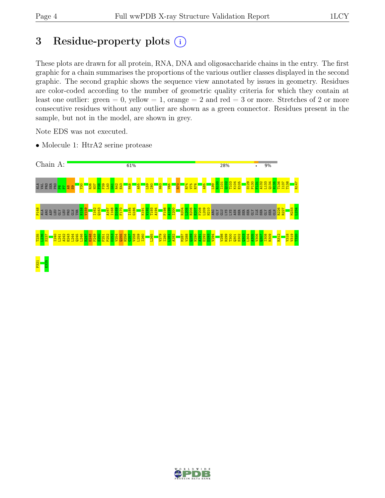## 3 Residue-property plots  $(i)$

These plots are drawn for all protein, RNA, DNA and oligosaccharide chains in the entry. The first graphic for a chain summarises the proportions of the various outlier classes displayed in the second graphic. The second graphic shows the sequence view annotated by issues in geometry. Residues are color-coded according to the number of geometric quality criteria for which they contain at least one outlier: green  $= 0$ , yellow  $= 1$ , orange  $= 2$  and red  $= 3$  or more. Stretches of 2 or more consecutive residues without any outlier are shown as a green connector. Residues present in the sample, but not in the model, are shown in grey.

Note EDS was not executed.

• Molecule 1: HtrA2 serine protease



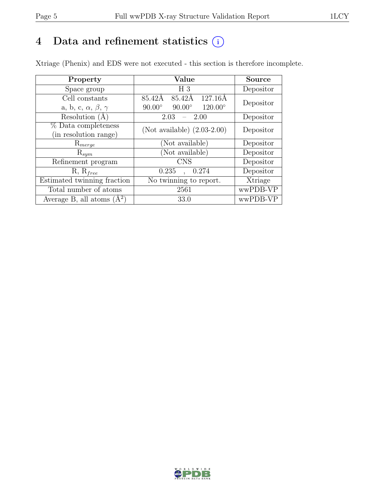## 4 Data and refinement statistics  $(i)$

Xtriage (Phenix) and EDS were not executed - this section is therefore incomplete.

| Property                               | Value                                              | <b>Source</b> |  |
|----------------------------------------|----------------------------------------------------|---------------|--|
| Space group                            | H <sub>3</sub>                                     | Depositor     |  |
| Cell constants                         | 127.16Å<br>85.42Å<br>85.42Å                        | Depositor     |  |
| a, b, c, $\alpha$ , $\beta$ , $\gamma$ | $120.00^{\circ}$<br>$90.00^\circ$<br>$90.00^\circ$ |               |  |
| Resolution $(A)$                       | 2.03<br>-2.00                                      | Depositor     |  |
| % Data completeness                    | (Not available) $(2.03-2.00)$                      | Depositor     |  |
| (in resolution range)                  |                                                    |               |  |
| $\mathrm{R}_{merge}$                   | (Not available)                                    | Depositor     |  |
| $\mathrm{R}_{sym}$                     | (Not available)                                    | Depositor     |  |
| Refinement program                     | <b>CNS</b>                                         | Depositor     |  |
| $R, R_{free}$                          | 0.235<br>0.274                                     | Depositor     |  |
| Estimated twinning fraction            | No twinning to report.                             | Xtriage       |  |
| Total number of atoms                  | 2561                                               | wwPDB-VP      |  |
| Average B, all atoms $(A^2)$           | 33.0                                               | wwPDB-VP      |  |

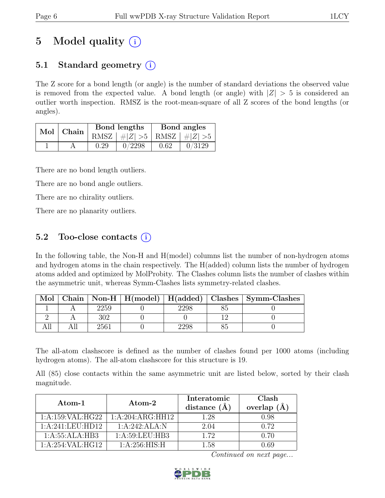## 5 Model quality  $(i)$

## 5.1 Standard geometry  $(i)$

The Z score for a bond length (or angle) is the number of standard deviations the observed value is removed from the expected value. A bond length (or angle) with  $|Z| > 5$  is considered an outlier worth inspection. RMSZ is the root-mean-square of all Z scores of the bond lengths (or angles).

| Mol | Chain |      | Bond lengths                    | Bond angles |        |
|-----|-------|------|---------------------------------|-------------|--------|
|     |       |      | RMSZ $ #Z  > 5$ RMSZ $ #Z  > 5$ |             |        |
|     |       | 0.29 | 0/2298                          | 0.62        | 0/3129 |

There are no bond length outliers.

There are no bond angle outliers.

There are no chirality outliers.

There are no planarity outliers.

### 5.2 Too-close contacts  $(i)$

In the following table, the Non-H and H(model) columns list the number of non-hydrogen atoms and hydrogen atoms in the chain respectively. The H(added) column lists the number of hydrogen atoms added and optimized by MolProbity. The Clashes column lists the number of clashes within the asymmetric unit, whereas Symm-Clashes lists symmetry-related clashes.

| Mol |      |  | Chain   Non-H   H(model)   H(added)   Clashes   Symm-Clashes |
|-----|------|--|--------------------------------------------------------------|
|     | 2259 |  |                                                              |
|     |      |  |                                                              |
|     | 2561 |  |                                                              |

The all-atom clashscore is defined as the number of clashes found per 1000 atoms (including hydrogen atoms). The all-atom clashscore for this structure is 19.

All (85) close contacts within the same asymmetric unit are listed below, sorted by their clash magnitude.

| Atom-1           | Atom-2           | Interatomic<br>distance $(\AA)$ | Clash<br>overlap $(\AA)$ |
|------------------|------------------|---------------------------------|--------------------------|
| 1:A:159:VAL:HG22 | 1:A:204:ARG:HH12 | 1.28                            | 0.98                     |
| 1:A:241:LEU:HD12 | 1:A:242:ALA:N    | 2.04                            | 0.72                     |
| 1:A:55:ALA:HB3   | 1: A:59:LEU:HB3  | 1.72                            | 0.70                     |
| 1:A:254:VAL:HG12 | 1: A:256: HIS:H  | 1.58                            | N 69                     |

Continued on next page...

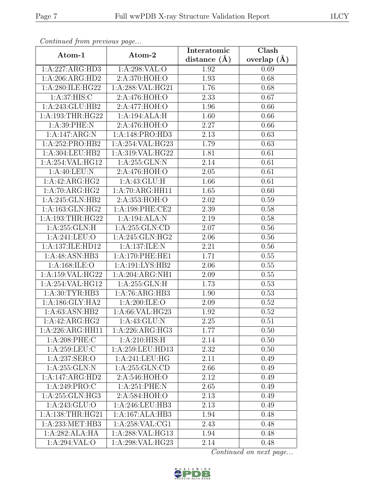| Continuea from previous page  |                            | Interatomic    | Clash           |
|-------------------------------|----------------------------|----------------|-----------------|
| Atom-1                        | Atom-2                     | distance $(A)$ | overlap $(\AA)$ |
| 1:A:227:ARG:HD3               | 1:A:298:VAL:O              | 1.92           | 0.69            |
| 1:A:206:ARG:HD2               | 2:A:370:HOH:O              | 1.93           | 0.68            |
| 1:A:280:ILE:HG22              | 1:A:288:VAL:HG21           | 1.76           | 0.68            |
| 1:A:37:HIS:C                  | 2:A:476:HOH:O              | 2.33           | 0.67            |
| 1:A:243:GLU:HB2               | $2:A:477:\overline{HOH:O}$ | 1.96           | 0.66            |
| 1:A:193:THR:HG22              | 1:A:194:ALA:H              | 1.60           | 0.66            |
| 1: A:39: PHE: N               | 2:A:476:HOH:O              | 2.27           | 0.66            |
| 1:A:147:ARG:N                 | 1:A:148:PRO:HD3            | 2.13           | 0.63            |
| 1: A:252: PRO:HB2             | 1:A:254:VAL:HG23           | 1.79           | 0.63            |
| 1:A:304:LEU:HB2               | 1:A:319:VAL:HG22           | 1.81           | 0.61            |
| 1:A:254:VAL:HG12              | $1:A:255:GLN:\overline{N}$ | 2.14           | 0.61            |
| 1:A:40:LEU:N                  | 2: A:476: HOH:O            | 2.05           | 0.61            |
| 1:A:42:ARG:HG2                | 1: A: 43: GLU: H           | 1.66           | 0.61            |
| 1:A:70:ARG:HG2                | 1:A:70:ARG:HH11            | 1.65           | 0.60            |
| 1:A:245:GLN:HB2               | 2:A:353:HOH:O              | 2.02           | 0.59            |
| 1:A:163:GLN:HG2               | 1: A:198: PHE:CE2          | 2.39           | 0.58            |
| 1: A: 193: THR: HG22          | 1:A:194:ALA:N              | 2.19           | 0.58            |
| 1: A:255: GLN: H              | 1:A:255:GLN:CD             | 2.07           | 0.56            |
| 1:A:241:LEU:O                 | 1:A:245:GLN:HG2            | 2.06           | 0.56            |
| 1:A:137:ILE:HD12              | 1:A:137:ILE:N              | 2.21           | 0.56            |
| 1:A:48:ASN:HB3                | 1:A:170:PHE:HE1            | 1.71           | 0.55            |
| 1: A: 168: ILE: O             | 1: A:191: LYS: HB2         | 2.06           | 0.55            |
| 1:A:159:VAL:HG22              | 1:A:204:ARG:NH1            | 2.09           | 0.55            |
| 1:A:254:VAL:HG12              | 1:A:255:GLN:H              | 1.73           | 0.53            |
| $1: A:30: T\overline{YR:HB3}$ | 1:A:76:ARG:HB3             | 1.90           | 0.53            |
| 1:A:186:GLY:HA2               | 1:A:200:ILE:O              | 2.09           | 0.52            |
| 1:A:63:ASN:HB2                | 1:A:66:VAL:HG23            | 1.92           | 0.52            |
| 1:A:42:ARG:HG2                | $1:$ A:43:GLU:N            | 2.25           | 0.51            |
| 1:A:226:ARG:HH11              | 1:A:226:ARG:HG3            | 1.77           | 0.50            |
| $1: A:208:$ PHE:C             | 1:A:210:HIS:H              | 2.14           | 0.50            |
| 1: A:259:LEU: C               | 1:A:259:LEU:HD13           | 2.32           | 0.50            |
| 1: A:237: SER: O              | 1:A:241:LEU:HG             | 2.11           | 0.49            |
| 1: A:255: GLN:N               | 1:A:255:GLN:CD             | 2.66           | 0.49            |
| 1:A:147:ARG:HD2               | 2:A:546:HOH:O              | 2.12           | 0.49            |
| 1:A:249:PRO:C                 | 1:A:251:PHE:N              | 2.65           | 0.49            |
| 1:A:255:GLN:HG3               | 2:A:584:HOH:O              | 2.13           | 0.49            |
| 1: A:243: GLU:O               | 1:A:246:LEU:HB3            | 2.13           | 0.49            |
| 1:A:138:THR:HG21              | 1:A:167:ALA:HB3            | 1.94           | 0.48            |
| 1:A:233:MET:HB3               | 1: A:258: VAL:CG1          | 2.43           | 0.48            |
| 1:A:282:ALA:HA                | 1:A:288:VAL:HG13           | 1.94           | 0.48            |
| 1:A:294:VAL:O                 | 1:A:298:VAL:HG23           | 2.14           | 0.48            |

Continued from previous page.

Continued on next page...

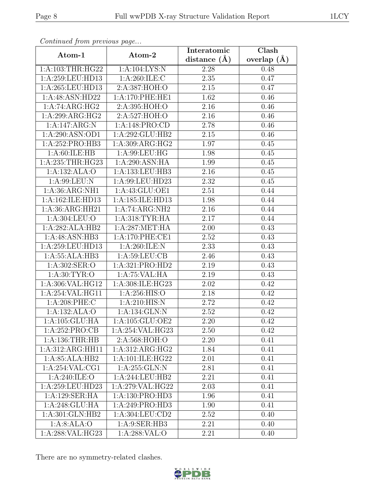| Continued from previous page |                    | Interatomic       | Clash             |
|------------------------------|--------------------|-------------------|-------------------|
| Atom-1                       | Atom-2             | distance $(A)$    | overlap $(\AA)$   |
| 1: A:103:THR:HG22            | 1:A:104:LYS:N      | 2.28              | 0.48              |
| 1:A:259:LEU:HD13             | 1:A:260:ILE:C      | 2.35              | 0.47              |
| 1:A:265:LEU:HD13             | 2:A:387:HOH:O      | $2.15\,$          | 0.47              |
| 1:A:48:ASN:HD22              | 1: A:170: PHE: HE1 | 1.62              | 0.46              |
| 1:A:74:ARG:HG2               | 2: A:395: HOH:O    | $\overline{2.16}$ | 0.46              |
| 1:A:299:ARG:HG2              | 2:A:527:HOH:O      | 2.16              | 0.46              |
| 1:A:147:ARG:N                | 1:A:148:PRO:CD     | 2.78              | 0.46              |
| 1:A:290:ASN:OD1              | $1:$ A:292:GLU:HB2 | 2.15              | 0.46              |
| 1:A:252:PRO:HB3              | 1: A:309: ARG: HG2 | 1.97              | 0.45              |
| 1: A:60:ILE: HB              | 1:A:99:LEU:HG      | 1.98              | 0.45              |
| 1:A:235:THR:HG23             | 1:A:290:ASN:HA     | 1.99              | 0.45              |
| 1:A:132:ALA:O                | 1:A:133:LEU:HB3    | 2.16              | 0.45              |
| 1: A:99: LEU: N              | 1:A:99:LEU:HD23    | 2.32              | 0.45              |
| 1: A:36: ARG:NH1             | 1:A:43:GLU:OE1     | 2.51              | $\overline{0.44}$ |
| 1:A:162:ILE:HD13             | 1:A:185:ILE:HD13   | 1.98              | 0.44              |
| 1:A:36:ARG:HH21              | 1:A:74:ARG:NH2     | 2.16              | 0.44              |
| 1:A:304:LEU:O                | 1: A:318:TYR:HA    | 2.17              | 0.44              |
| 1:A:282:ALA:HB2              | 1: A:287: MET:HA   | 2.00              | 0.43              |
| 1:A:48:ASN:HB3               | 1:A:170:PHE:CE1    | 2.52              | 0.43              |
| 1:A:259:LEU:HD13             | 1: A:260: ILE:N    | 2.33              | 0.43              |
| 1:A:55:ALA:HB3               | 1: A:59: LEU: CB   | 2.46              | 0.43              |
| 1:A:302:SER:O                | 1:A:321:PRO:HD2    | 2.19              | 0.43              |
| 1: A:30: TYR:O               | 1:A:75:VAL:HA      | 2.19              | 0.43              |
| 1:A:306:VAL:HG12             | 1:A:308:ILE:HG23   | 2.02              | 0.42              |
| 1:A:254:VAL:HG11             | 1: A:256: HIS:O    | 2.18              | 0.42              |
| 1:A:208:PHE:C                | 1:A:210:HIS:N      | $\overline{2}.72$ | 0.42              |
| 1:A:132:ALA:O                | 1:A:134:GLN:N      | 2.52              | 0.42              |
| $1:A:105:\overline{GLU:HA}$  | 1:A:105:GLU:OE2    | 2.20              | 0.42              |
| 1:A:252:PRO:CB               | 1:A:254:VAL:HG23   | 2.50              | 0.42              |
| 1: A: 136: THR: HB           | 2:A:568:HOH:O      | 2.20              | 0.41              |
| 1:A:312:ARG:HH11             | 1:A:312:ARG:HG2    | 1.84              | 0.41              |
| 1:A:85:ALA:HB2               | 1:A:101:ILE:HG22   | 2.01              | 0.41              |
| 1:A:254:VAL:CG1              | 1: A:255: GLN:N    | 2.81              | 0.41              |
| 1:A:240:ILE:O                | 1:A:244:LEU:HB2    | 2.21              | 0.41              |
| 1:A:259:LEU:HD23             | 1:A:279:VAL:HG22   | 2.03              | 0.41              |
| 1:A:129:SER:HA               | 1:A:130:PRO:HD3    | 1.96              | 0.41              |
| 1:A:248:GLU:HA               | 1:A:249:PRO:HD3    | 1.90              | 0.41              |
| 1:A:301:GLN:HB2              | 1:A:304:LEU:CD2    | 2.52              | 0.40              |
| 1:A:8:ALA:O                  | 1: A:9: SER: HB3   | 2.21              | 0.40              |
| 1:A:288:VAL:HG23             | 1:A:288:VAL:O      | 2.21              | 0.40              |

Continued from previous page.

There are no symmetry-related clashes.

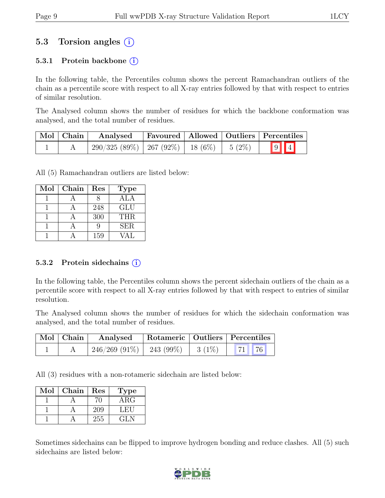## 5.3 Torsion angles (i)

#### 5.3.1 Protein backbone  $(i)$

In the following table, the Percentiles column shows the percent Ramachandran outliers of the chain as a percentile score with respect to all X-ray entries followed by that with respect to entries of similar resolution.

The Analysed column shows the number of residues for which the backbone conformation was analysed, and the total number of residues.

| $\vert$ Mol $\vert$ Chain $\vert$ | Analysed                                          |  | Favoured   Allowed   Outliers   Percentiles |
|-----------------------------------|---------------------------------------------------|--|---------------------------------------------|
|                                   | $290/325(89\%)$   267 (92\%)   18 (6\%)   5 (2\%) |  | $\boxed{9}$ $\boxed{4}$                     |

All (5) Ramachandran outliers are listed below:

| Mol | Chain | Res | <b>Type</b> |
|-----|-------|-----|-------------|
|     |       |     | <b>ALA</b>  |
|     |       | 248 | <b>GLU</b>  |
|     |       | 300 | THR.        |
|     |       |     | <b>SER</b>  |
|     |       | 159 |             |

#### 5.3.2 Protein sidechains  $(i)$

In the following table, the Percentiles column shows the percent sidechain outliers of the chain as a percentile score with respect to all X-ray entries followed by that with respect to entries of similar resolution.

The Analysed column shows the number of residues for which the sidechain conformation was analysed, and the total number of residues.

| Mol   Chain | Analysed                      |          | Rotameric   Outliers   Percentiles |
|-------------|-------------------------------|----------|------------------------------------|
|             | $246/269$ (91\%)   243 (99\%) | $3(1\%)$ | 71 76                              |

All (3) residues with a non-rotameric sidechain are listed below:

| Mol | Chain | Res | Type       |
|-----|-------|-----|------------|
|     |       | ΊΙ  | $\rm{ARG}$ |
|     |       | 209 | LET.       |
|     |       | 255 | GLN        |

Sometimes sidechains can be flipped to improve hydrogen bonding and reduce clashes. All (5) such sidechains are listed below:

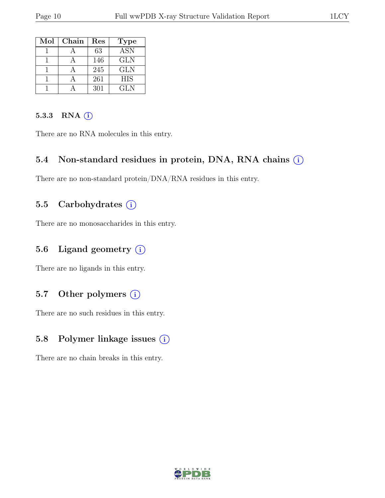| Mol | Chain | Res | <b>Type</b> |
|-----|-------|-----|-------------|
|     |       | 63  | ASN         |
|     |       | 146 | <b>GLN</b>  |
|     |       | 245 | GLN         |
|     |       | 261 | <b>HIS</b>  |
|     |       | 301 | GLN         |

#### 5.3.3 RNA  $(i)$

There are no RNA molecules in this entry.

#### 5.4 Non-standard residues in protein, DNA, RNA chains  $(i)$

There are no non-standard protein/DNA/RNA residues in this entry.

#### 5.5 Carbohydrates  $(i)$

There are no monosaccharides in this entry.

#### 5.6 Ligand geometry  $(i)$

There are no ligands in this entry.

#### 5.7 Other polymers  $(i)$

There are no such residues in this entry.

#### 5.8 Polymer linkage issues  $(i)$

There are no chain breaks in this entry.